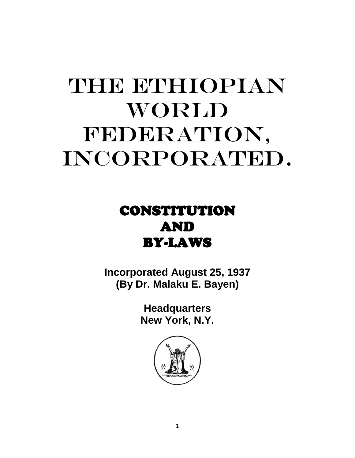# THE ETHIOPIAN WORLD FEDERATION, INCORPORATED.

# CONSTITUTION AND BY-LAWS

**Incorporated August 25, 1937 (By Dr. Malaku E. Bayen)**

> **Headquarters New York, N.Y.**

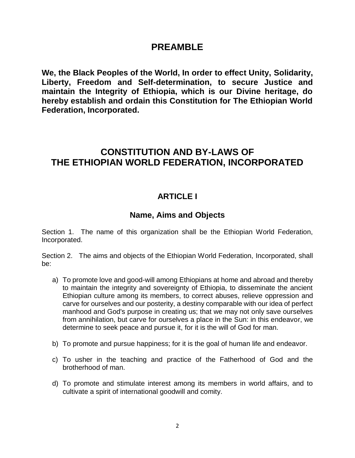#### **PREAMBLE**

**We, the Black Peoples of the World, In order to effect Unity, Solidarity, Liberty, Freedom and Self-determination, to secure Justice and maintain the Integrity of Ethiopia, which is our Divine heritage, do hereby establish and ordain this Constitution for The Ethiopian World Federation, Incorporated.**

# **CONSTITUTION AND BY-LAWS OF THE ETHIOPIAN WORLD FEDERATION, INCORPORATED**

#### **ARTICLE I**

#### **Name, Aims and Objects**

Section 1. The name of this organization shall be the Ethiopian World Federation, Incorporated.

Section 2. The aims and objects of the Ethiopian World Federation, Incorporated, shall be:

- a) To promote love and good-will among Ethiopians at home and abroad and thereby to maintain the integrity and sovereignty of Ethiopia, to disseminate the ancient Ethiopian culture among its members, to correct abuses, relieve oppression and carve for ourselves and our posterity, a destiny comparable with our idea of perfect manhood and God's purpose in creating us; that we may not only save ourselves from annihilation, but carve for ourselves a place in the Sun: in this endeavor, we determine to seek peace and pursue it, for it is the will of God for man.
- b) To promote and pursue happiness; for it is the goal of human life and endeavor.
- c) To usher in the teaching and practice of the Fatherhood of God and the brotherhood of man.
- d) To promote and stimulate interest among its members in world affairs, and to cultivate a spirit of international goodwill and comity.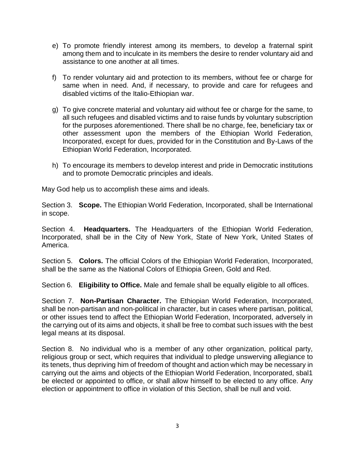- e) To promote friendly interest among its members, to develop a fraternal spirit among them and to inculcate in its members the desire to render voluntary aid and assistance to one another at all times.
- f) To render voluntary aid and protection to its members, without fee or charge for same when in need. And, if necessary, to provide and care for refugees and disabled victims of the Italio-Ethiopian war.
- g) To give concrete material and voluntary aid without fee or charge for the same, to all such refugees and disabled victims and to raise funds by voluntary subscription for the purposes aforementioned. There shall be no charge, fee, beneficiary tax or other assessment upon the members of the Ethiopian World Federation, Incorporated, except for dues, provided for in the Constitution and By-Laws of the Ethiopian World Federation, Incorporated.
- h) To encourage its members to develop interest and pride in Democratic institutions and to promote Democratic principles and ideals.

May God help us to accomplish these aims and ideals.

Section 3. **Scope.** The Ethiopian World Federation, Incorporated, shall be International in scope.

Section 4. **Headquarters.** The Headquarters of the Ethiopian World Federation, Incorporated, shall be in the City of New York, State of New York, United States of America.

Section 5. **Colors.** The official Colors of the Ethiopian World Federation, Incorporated, shall be the same as the National Colors of Ethiopia Green, Gold and Red.

Section 6. **Eligibility to Office.** Male and female shall be equally eligible to all offices.

Section 7. **Non-Partisan Character.** The Ethiopian World Federation, Incorporated, shall be non-partisan and non-political in character, but in cases where partisan, political, or other issues tend to affect the Ethiopian World Federation, Incorporated, adversely in the carrying out of its aims and objects, it shall be free to combat such issues with the best legal means at its disposal.

Section 8. No individual who is a member of any other organization, political party, religious group or sect, which requires that individual to pledge unswerving allegiance to its tenets, thus depriving him of freedom of thought and action which may be necessary in carrying out the aims and objects of the Ethiopian World Federation, Incorporated, sbal1 be elected or appointed to office, or shall allow himself to be elected to any office. Any election or appointment to office in violation of this Section, shall be null and void.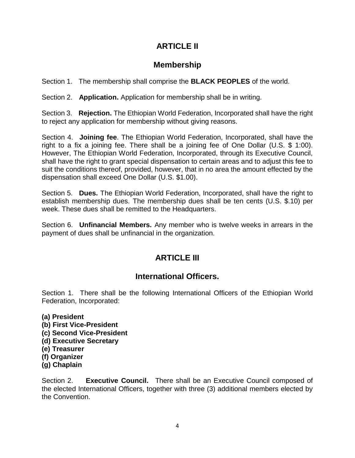#### **ARTICLE II**

#### **Membership**

Section 1. The membership shall comprise the **BLACK PEOPLES** of the world.

Section 2. **Application.** Application for membership shall be in writing.

Section 3. **Rejection.** The Ethiopian World Federation, Incorporated shall have the right to reject any application for membership without giving reasons.

Section 4. **Joining fee**. The Ethiopian World Federation, Incorporated, shall have the right to a fix a joining fee. There shall be a joining fee of One Dollar (U.S. \$ 1:00). However, The Ethiopian World Federation, Incorporated, through its Executive Council, shall have the right to grant special dispensation to certain areas and to adjust this fee to suit the conditions thereof, provided, however, that in no area the amount effected by the dispensation shall exceed One Dollar (U.S. \$1.00).

Section 5. **Dues.** The Ethiopian World Federation, Incorporated, shall have the right to establish membership dues. The membership dues shall be ten cents (U.S. \$.10) per week. These dues shall be remitted to the Headquarters.

Section 6. **Unfinancial Members.** Any member who is twelve weeks in arrears in the payment of dues shall be unfinancial in the organization.

### **ARTICLE III**

### **International Officers.**

Section 1. There shall be the following International Officers of the Ethiopian World Federation, Incorporated:

- **(a) President**
- **(b) First Vice-President**
- **(c) Second Vice-President**
- **(d) Executive Secretary**
- **(e) Treasurer**
- **(f) Organizer**
- **(g) Chaplain**

Section 2. **Executive Council.** There shall be an Executive Council composed of the elected International Officers, together with three (3) additional members elected by the Convention.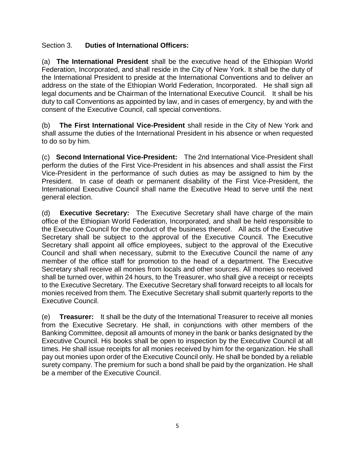#### Section 3. **Duties of International Officers:**

(a) **The International President** shall be the executive head of the Ethiopian World Federation, Incorporated, and shall reside in the City of New York. It shall be the duty of the International President to preside at the International Conventions and to deliver an address on the state of the Ethiopian World Federation, Incorporated. He shall sign all legal documents and be Chairman of the International Executive Council. It shall be his duty to call Conventions as appointed by law, and in cases of emergency, by and with the consent of the Executive Council, call special conventions.

(b) **The First International Vice-President** shall reside in the City of New York and shall assume the duties of the International President in his absence or when requested to do so by him.

(c) **Second International Vice-President:** The 2nd International Vice-President shall perform the duties of the First Vice-President in his absences and shall assist the First Vice-President in the performance of such duties as may be assigned to him by the President. In case of death or permanent disability of the First Vice-President, the International Executive Council shall name the Executive Head to serve until the next general election.

(d) **Executive Secretary:** The Executive Secretary shall have charge of the main office of the Ethiopian World Federation, Incorporated, and shall be held responsible to the Executive Council for the conduct of the business thereof. All acts of the Executive Secretary shall be subject to the approval of the Executive Council. The Executive Secretary shall appoint all office employees, subject to the approval of the Executive Council and shall when necessary, submit to the Executive Council the name of any member of the office staff for promotion to the head of a department. The Executive Secretary shall receive all monies from locals and other sources. All monies so received shall be turned over, within 24 hours, to the Treasurer, who shall give a receipt or receipts to the Executive Secretary. The Executive Secretary shall forward receipts to all locals for monies received from them. The Executive Secretary shall submit quarterly reports to the Executive Council.

(e) **Treasurer:** It shall be the duty of the International Treasurer to receive all monies from the Executive Secretary. He shall, in conjunctions with other members of the Banking Committee, deposit all amounts of money in the bank or banks designated by the Executive Council. His books shall be open to inspection by the Executive Council at all times. He shall issue receipts for all monies received by him for the organization. He shall pay out monies upon order of the Executive Council only. He shall be bonded by a reliable surety company. The premium for such a bond shall be paid by the organization. He shall be a member of the Executive Council.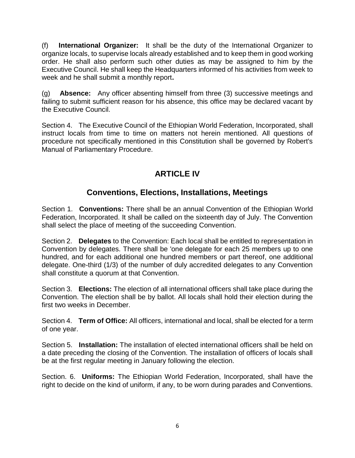(f) **International Organizer:** It shall be the duty of the International Organizer to organize locals, to supervise locals already established and to keep them in good working order. He shall also perform such other duties as may be assigned to him by the Executive Council. He shall keep the Headquarters informed of his activities from week to week and he shall submit a monthly report**.**

(g) **Absence:** Any officer absenting himself from three (3) successive meetings and failing to submit sufficient reason for his absence, this office may be declared vacant by the Executive Council.

Section 4. The Executive Council of the Ethiopian World Federation, Incorporated, shall instruct locals from time to time on matters not herein mentioned. All questions of procedure not specifically mentioned in this Constitution shall be governed by Robert's Manual of Parliamentary Procedure.

## **ARTICLE IV**

#### **Conventions, Elections, Installations, Meetings**

Section 1. **Conventions:** There shall be an annual Convention of the Ethiopian World Federation, Incorporated. It shall be called on the sixteenth day of July. The Convention shall select the place of meeting of the succeeding Convention.

Section 2. **Delegates** to the Convention: Each local shall be entitled to representation in Convention by delegates. There shall be 'one delegate for each 25 members up to one hundred, and for each additional one hundred members or part thereof, one additional delegate. One-third (1/3) of the number of duly accredited delegates to any Convention shall constitute a quorum at that Convention.

Section 3. **Elections:** The election of all international officers shall take place during the Convention. The election shall be by ballot. All locals shall hold their election during the first two weeks in December.

Section 4. **Term of Office:** All officers, international and local, shall be elected for a term of one year.

Section 5. **Installation:** The installation of elected international officers shall be held on a date preceding the closing of the Convention. The installation of officers of locals shall be at the first regular meeting in January following the election.

Section. 6. **Uniforms:** The Ethiopian World Federation, Incorporated, shall have the right to decide on the kind of uniform, if any, to be worn during parades and Conventions.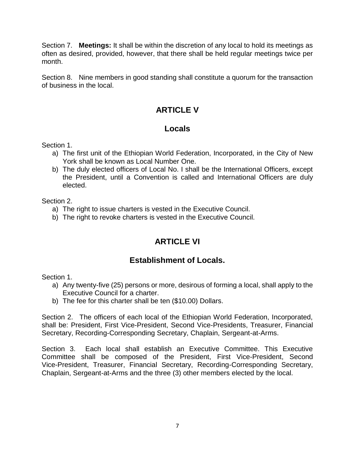Section 7. **Meetings:** It shall be within the discretion of any local to hold its meetings as often as desired, provided, however, that there shall be held regular meetings twice per month.

Section 8. Nine members in good standing shall constitute a quorum for the transaction of business in the local.

#### **ARTICLE V**

#### **Locals**

Section 1.

- a) The first unit of the Ethiopian World Federation, Incorporated, in the City of New York shall be known as Local Number One.
- b) The duly elected officers of Local No. I shall be the International Officers, except the President, until a Convention is called and International Officers are duly elected.

Section 2.

- a) The right to issue charters is vested in the Executive Council.
- b) The right to revoke charters is vested in the Executive Council.

### **ARTICLE VI**

#### **Establishment of Locals.**

Section 1.

- a) Any twenty-five (25) persons or more, desirous of forming a local, shall apply to the Executive Council for a charter.
- b) The fee for this charter shall be ten (\$10.00) Dollars.

Section 2. The officers of each local of the Ethiopian World Federation, Incorporated, shall be: President, First Vice-President, Second Vice-Presidents, Treasurer, Financial Secretary, Recording-Corresponding Secretary, Chaplain, Sergeant-at-Arms.

Section 3. Each local shall establish an Executive Committee. This Executive Committee shall be composed of the President, First Vice-President, Second Vice-President, Treasurer, Financial Secretary, Recording-Corresponding Secretary, Chaplain, Sergeant-at-Arms and the three (3) other members elected by the local.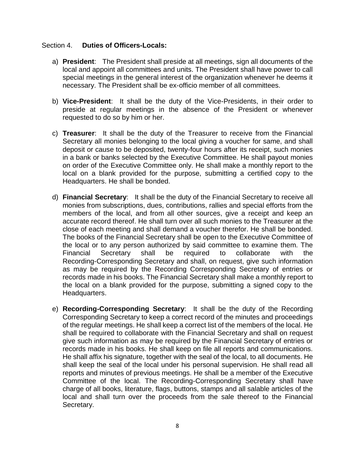#### Section 4. **Duties of Officers-Locals:**

- a) **President**: The President shall preside at all meetings, sign all documents of the local and appoint all committees and units. The President shall have power to call special meetings in the general interest of the organization whenever he deems it necessary. The President shall be ex-officio member of all committees.
- b) **Vice-President**: It shall be the duty of the Vice-Presidents, in their order to preside at regular meetings in the absence of the President or whenever requested to do so by him or her.
- c) **Treasurer**: It shall be the duty of the Treasurer to receive from the Financial Secretary all monies belonging to the local giving a voucher for same, and shall deposit or cause to be deposited, twenty-four hours after its receipt, such monies in a bank or banks selected by the Executive Committee. He shall payout monies on order of the Executive Committee only. He shall make a monthly report to the local on a blank provided for the purpose, submitting a certified copy to the Headquarters. He shall be bonded.
- d) **Financial Secretary**: It shall be the duty of the Financial Secretary to receive all monies from subscriptions, dues, contributions, rallies and special efforts from the members of the local, and from all other sources, give a receipt and keep an accurate record thereof. He shall turn over all such monies to the Treasurer at the close of each meeting and shall demand a voucher therefor. He shall be bonded. The books of the Financial Secretary shall be open to the Executive Committee of the local or to any person authorized by said committee to examine them. The Financial Secretary shall be required to collaborate with the Recording-Corresponding Secretary and shall, on request, give such information as may be required by the Recording Corresponding Secretary of entries or records made in his books. The Financial Secretary shall make a monthly report to the local on a blank provided for the purpose, submitting a signed copy to the Headquarters.
- e) **Recording-Corresponding Secretary**: It shall be the duty of the Recording Corresponding Secretary to keep a correct record of the minutes and proceedings of the regular meetings. He shall keep a correct list of the members of the local. He shall be required to collaborate with the Financial Secretary and shall on request give such information as may be required by the Financial Secretary of entries or records made in his books. He shall keep on file all reports and communications. He shall affix his signature, together with the seal of the local, to all documents. He shall keep the seal of the local under his personal supervision. He shall read all reports and minutes of previous meetings. He shall be a member of the Executive Committee of the local. The Recording-Corresponding Secretary shall have charge of all books, literature, flags, buttons, stamps and all salable articles of the local and shall turn over the proceeds from the sale thereof to the Financial Secretary.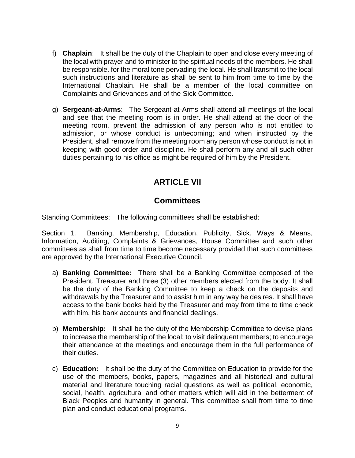- f) **Chaplain**: It shall be the duty of the Chaplain to open and close every meeting of the local with prayer and to minister to the spiritual needs of the members. He shall be responsible. for the moral tone pervading the local. He shall transmit to the local such instructions and literature as shall be sent to him from time to time by the International Chaplain. He shall be a member of the local committee on Complaints and Grievances and of the Sick Committee.
- g) **Sergeant-at-Arms**: The Sergeant-at-Arms shall attend all meetings of the local and see that the meeting room is in order. He shall attend at the door of the meeting room, prevent the admission of any person who is not entitled to admission, or whose conduct is unbecoming; and when instructed by the President, shall remove from the meeting room any person whose conduct is not in keeping with good order and discipline. He shall perform any and all such other duties pertaining to his office as might be required of him by the President.

#### **ARTICLE VII**

#### **Committees**

Standing Committees: The following committees shall be established:

Section 1. Banking, Membership, Education, Publicity, Sick, Ways & Means, Information, Auditing, Complaints & Grievances, House Committee and such other committees as shall from time to time become necessary provided that such committees are approved by the International Executive Council.

- a) **Banking Committee:** There shall be a Banking Committee composed of the President, Treasurer and three (3) other members elected from the body. It shall be the duty of the Banking Committee to keep a check on the deposits and withdrawals by the Treasurer and to assist him in any way he desires. It shall have access to the bank books held by the Treasurer and may from time to time check with him, his bank accounts and financial dealings.
- b) **Membership:** It shall be the duty of the Membership Committee to devise plans to increase the membership of the local; to visit delinquent members; to encourage their attendance at the meetings and encourage them in the full performance of their duties.
- c) **Education:** It shall be the duty of the Committee on Education to provide for the use of the members, books, papers, magazines and all historical and cultural material and literature touching racial questions as well as political, economic, social, health, agricultural and other matters which will aid in the betterment of Black Peoples and humanity in general. This committee shall from time to time plan and conduct educational programs.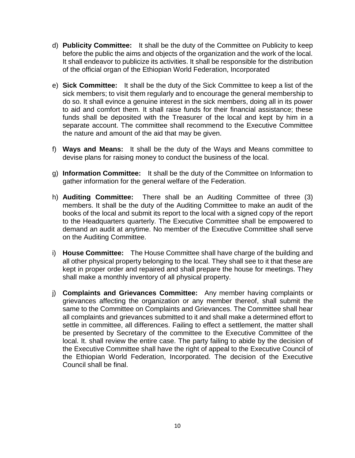- d) **Publicity Committee:** It shall be the duty of the Committee on Publicity to keep before the public the aims and objects of the organization and the work of the local. It shall endeavor to publicize its activities. It shall be responsible for the distribution of the official organ of the Ethiopian World Federation, Incorporated
- e) **Sick Committee:** It shall be the duty of the Sick Committee to keep a list of the sick members; to visit them regularly and to encourage the general membership to do so. It shall evince a genuine interest in the sick members, doing all in its power to aid and comfort them. It shall raise funds for their financial assistance; these funds shall be deposited with the Treasurer of the local and kept by him in a separate account. The committee shall recommend to the Executive Committee the nature and amount of the aid that may be given.
- f) **Ways and Means:** It shall be the duty of the Ways and Means committee to devise plans for raising money to conduct the business of the local.
- g) **Information Committee:** It shall be the duty of the Committee on Information to gather information for the general welfare of the Federation.
- h) **Auditing Committee:** There shall be an Auditing Committee of three (3) members. It shall be the duty of the Auditing Committee to make an audit of the books of the local and submit its report to the local with a signed copy of the report to the Headquarters quarterly. The Executive Committee shall be empowered to demand an audit at anytime. No member of the Executive Committee shall serve on the Auditing Committee.
- i) **House Committee:** The House Committee shall have charge of the building and all other physical property belonging to the local. They shall see to it that these are kept in proper order and repaired and shall prepare the house for meetings. They shall make a monthly inventory of all physical property.
- j) **Complaints and Grievances Committee:** Any member having complaints or grievances affecting the organization or any member thereof, shall submit the same to the Committee on Complaints and Grievances. The Committee shall hear all complaints and grievances submitted to it and shall make a determined effort to settle in committee, all differences. Failing to effect a settlement, the matter shall be presented by Secretary of the committee to the Executive Committee of the local. It. shall review the entire case. The party failing to abide by the decision of the Executive Committee shall have the right of appeal to the Executive Council of the Ethiopian World Federation, Incorporated. The decision of the Executive Council shall be final.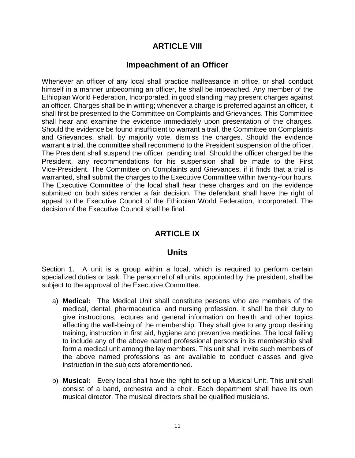#### **ARTICLE VIII**

#### **Impeachment of an Officer**

Whenever an officer of any local shall practice malfeasance in office, or shall conduct himself in a manner unbecoming an officer, he shall be impeached. Any member of the Ethiopian World Federation, Incorporated, in good standing may present charges against an officer. Charges shall be in writing; whenever a charge is preferred against an officer, it shall first be presented to the Committee on Complaints and Grievances. This Committee shall hear and examine the evidence immediately upon presentation of the charges. Should the evidence be found insufficient to warrant a trail, the Committee on Complaints and Grievances, shall, by majority vote, dismiss the charges. Should the evidence warrant a trial, the committee shall recommend to the President suspension of the officer. The President shall suspend the officer, pending trial. Should the officer charged be the President, any recommendations for his suspension shall be made to the First Vice-President. The Committee on Complaints and Grievances, if it finds that a trial is warranted, shall submit the charges to the Executive Committee within twenty-four hours. The Executive Committee of the local shall hear these charges and on the evidence submitted on both sides render a fair decision. The defendant shall have the right of appeal to the Executive Council of the Ethiopian World Federation, Incorporated. The decision of the Executive Council shall be final.

#### **ARTICLE IX**

#### **Units**

Section 1. A unit is a group within a local, which is required to perform certain specialized duties or task. The personnel of all units, appointed by the president, shall be subject to the approval of the Executive Committee.

- a) **Medical:** The Medical Unit shall constitute persons who are members of the medical, dental, pharmaceutical and nursing profession. It shall be their duty to give instructions, lectures and general information on health and other topics affecting the well-being of the membership. They shall give to any group desiring training, instruction in first aid, hygiene and preventive medicine. The local failing to include any of the above named professional persons in its membership shall form a medical unit among the lay members. This unit shall invite such members of the above named professions as are available to conduct classes and give instruction in the subjects aforementioned.
- b) **Musical:** Every local shall have the right to set up a Musical Unit. This unit shall consist of a band, orchestra and a choir. Each department shall have its own musical director. The musical directors shall be qualified musicians.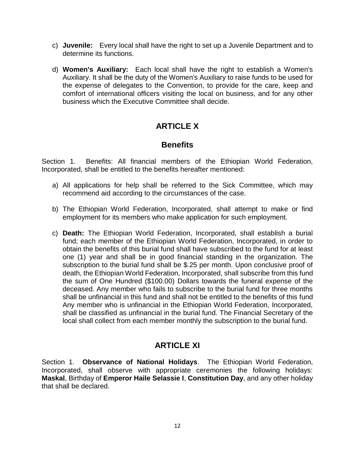- c) **Juvenile:** Every local shall have the right to set up a Juvenile Department and to determine its functions.
- d) **Women's Auxiliary:** Each local shall have the right to establish a Women's Auxiliary. It shall be the duty of the Women's Auxiliary to raise funds to be used for the expense of delegates to the Convention, to provide for the care, keep and comfort of international officers visiting the local on business, and for any other business which the Executive Committee shall decide.

### **ARTICLE X**

#### **Benefits**

Section 1. Benefits: All financial members of the Ethiopian World Federation, Incorporated, shall be entitled to the benefits hereafter mentioned:

- a) All applications for help shall be referred to the Sick Committee, which may recommend aid according to the circumstances of the case.
- b) The Ethiopian World Federation, Incorporated, shall attempt to make or find employment for its members who make application for such employment.
- c) **Death:** The Ethiopian World Federation, Incorporated, shall establish a burial fund; each member of the Ethiopian World Federation, Incorporated, in order to obtain the benefits of this burial fund shall have subscribed to the fund for at least one (1) year and shall be in good financial standing in the organization. The subscription to the burial fund shall be \$.25 per month. Upon conclusive proof of death, the Ethiopian World Federation, Incorporated, shall subscribe from this fund the sum of One Hundred (\$100.00) Dollars towards the funeral expense of the deceased. Any member who fails to subscribe to the burial fund for three months shall be unfinancial in this fund and shall not be entitled to the benefits of this fund Any member who is unfinancial in the Ethiopian World Federation, Incorporated, shall be classified as unfinancial in the burial fund. The Financial Secretary of the local shall collect from each member monthly the subscription to the burial fund.

### **ARTICLE XI**

Section 1. **Observance of National Holidays**. The Ethiopian World Federation, Incorporated, shall observe with appropriate ceremonies the following holidays: **Maskal**, Birthday of **Emperor Haile Selassie I**, **Constitution Day**, and any other holiday that shall be declared.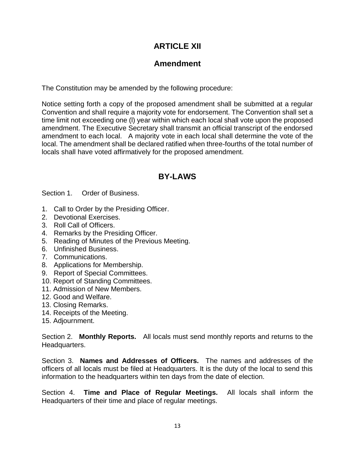#### **ARTICLE XII**

#### **Amendment**

The Constitution may be amended by the following procedure:

Notice setting forth a copy of the proposed amendment shall be submitted at a regular Convention and shall require a majority vote for endorsement. The Convention shall set a time limit not exceeding one (l) year within which each local shall vote upon the proposed amendment. The Executive Secretary shall transmit an official transcript of the endorsed amendment to each local. A majority vote in each local shall determine the vote of the local. The amendment shall be declared ratified when three-fourths of the total number of locals shall have voted affirmatively for the proposed amendment.

#### **BY-LAWS**

Section 1. Order of Business.

- 1. Call to Order by the Presiding Officer.
- 2. Devotional Exercises.
- 3. Roll Call of Officers.
- 4. Remarks by the Presiding Officer.
- 5. Reading of Minutes of the Previous Meeting.
- 6. Unfinished Business.
- 7. Communications.
- 8. Applications for Membership.
- 9. Report of Special Committees.
- 10. Report of Standing Committees.
- 11. Admission of New Members.
- 12. Good and Welfare.
- 13. Closing Remarks.
- 14. Receipts of the Meeting.
- 15. Adjournment.

Section 2. **Monthly Reports.** All locals must send monthly reports and returns to the Headquarters.

Section 3. **Names and Addresses of Officers.** The names and addresses of the officers of all locals must be filed at Headquarters. It is the duty of the local to send this information to the headquarters within ten days from the date of election.

Section 4. **Time and Place of Regular Meetings.** All locals shall inform the Headquarters of their time and place of regular meetings.